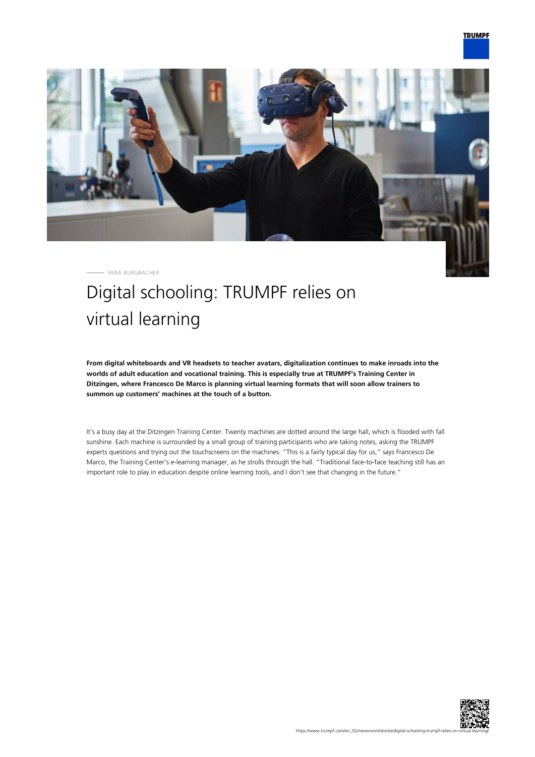

MIRA BURGBACHER

## Digital schooling: TRUMPF relies on virtual learning

**From digital whiteboards and VR headsets to teacher avatars, digitalization continues to make inroads into the worlds of adult education and vocational training. This is especially true at TRUMPF's Training Center in Ditzingen, where Francesco De Marco is planning virtual learning formats that will soon allow trainers to summon up customers' machines at the touch of a button.**

It's a busy day at the Ditzingen Training Center. Twenty machines are dotted around the large hall, which is flooded with fall sunshine. Each machine is surrounded by a small group of training participants who are taking notes, asking the TRUMPF experts questions and trying out the touchscreens on the machines. "This is a fairly typical day for us," says Francesco De Marco, the Training Center's e-learning manager, as he strolls through the hall. "Traditional face-to-face teaching still has an important role to play in education despite online learning tools, and I don't see that changing in the future."

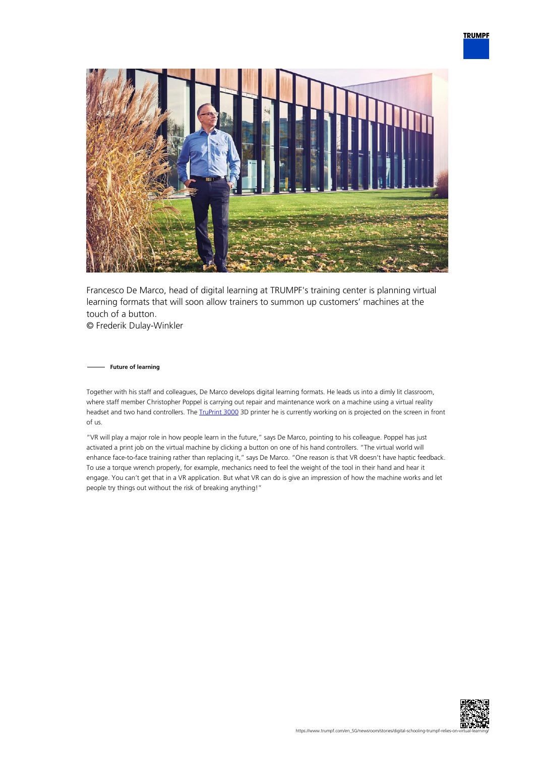

Francesco De Marco, head of digital learning at TRUMPF's training center is planning virtual learning formats that will soon allow trainers to summon up customers' machines at the touch of a button. © Frederik Dulay-Winkler

**Future of learning**

Together with his staff and colleagues, De Marco develops digital learning formats. He leads us into a dimly lit classroom, where staff member Christopher Poppel is carrying out repair and maintenance work on a machine using a virtual reality headset and two hand controllers. The [TruPrint 3000](https://www.trumpf.com/en_INT/products/machines-systems/additive-production-systems/truprint-3000/) 3D printer he is currently working on is projected on the screen in front of us.

"VR will play a major role in how people learn in the future," says De Marco, pointing to his colleague. Poppel has just activated a print job on the virtual machine by clicking a button on one of his hand controllers. "The virtual world will enhance face-to-face training rather than replacing it," says De Marco. "One reason is that VR doesn't have haptic feedback. To use a torque wrench properly, for example, mechanics need to feel the weight of the tool in their hand and hear it engage. You can't get that in a VR application. But what VR can do is give an impression of how the machine works and let people try things out without the risk of breaking anything!"

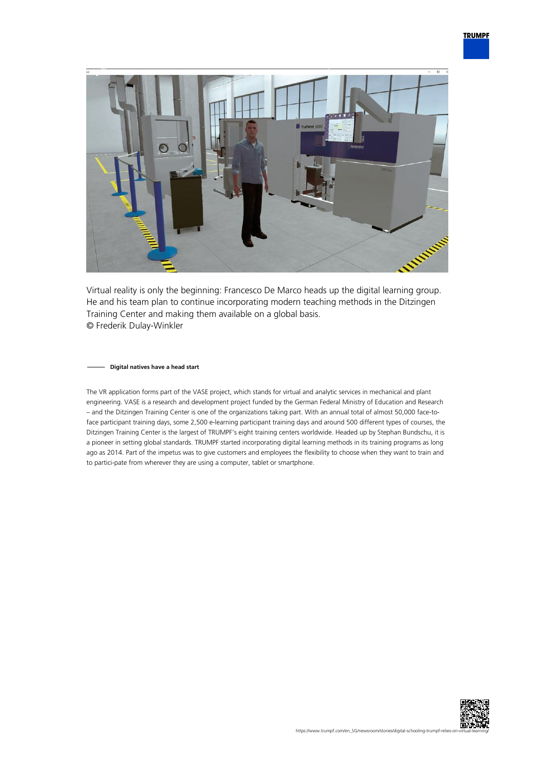

Virtual reality is only the beginning: Francesco De Marco heads up the digital learning group. He and his team plan to continue incorporating modern teaching methods in the Ditzingen Training Center and making them available on a global basis. © Frederik Dulay-Winkler

## **Digital natives have a head start**

The VR application forms part of the VASE project, which stands for virtual and analytic services in mechanical and plant engineering. VASE is a research and development project funded by the German Federal Ministry of Education and Research – and the Ditzingen Training Center is one of the organizations taking part. With an annual total of almost 50,000 face-toface participant training days, some 2,500 e-learning participant training days and around 500 different types of courses, the Ditzingen Training Center is the largest of TRUMPF's eight training centers worldwide. Headed up by Stephan Bundschu, it is a pioneer in setting global standards. TRUMPF started incorporating digital learning methods in its training programs as long ago as 2014. Part of the impetus was to give customers and employees the flexibility to choose when they want to train and to partici-pate from wherever they are using a computer, tablet or smartphone.

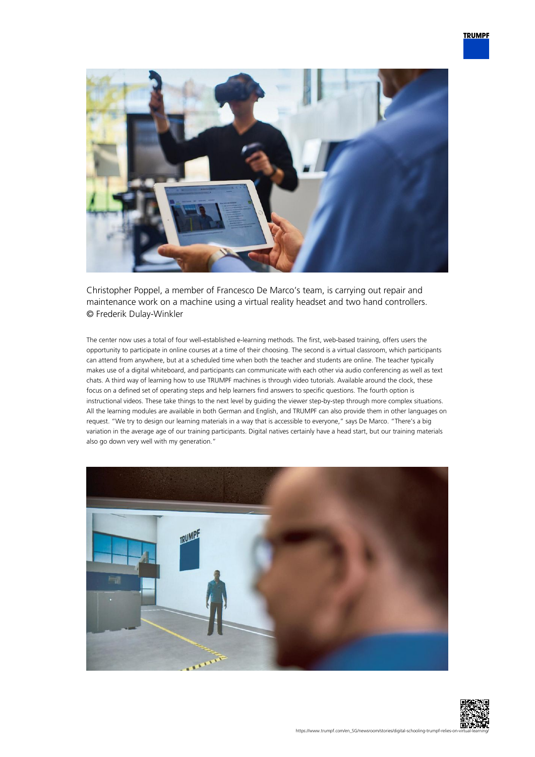

Christopher Poppel, a member of Francesco De Marco's team, is carrying out repair and maintenance work on a machine using a virtual reality headset and two hand controllers. © Frederik Dulay-Winkler

The center now uses a total of four well-established e-learning methods. The first, web-based training, offers users the opportunity to participate in online courses at a time of their choosing. The second is a virtual classroom, which participants can attend from anywhere, but at a scheduled time when both the teacher and students are online. The teacher typically makes use of a digital whiteboard, and participants can communicate with each other via audio conferencing as well as text chats. A third way of learning how to use TRUMPF machines is through video tutorials. Available around the clock, these focus on a defined set of operating steps and help learners find answers to specific questions. The fourth option is instructional videos. These take things to the next level by guiding the viewer step-by-step through more complex situations. All the learning modules are available in both German and English, and TRUMPF can also provide them in other languages on request. "We try to design our learning materials in a way that is accessible to everyone," says De Marco. "There's a big variation in the average age of our training participants. Digital natives certainly have a head start, but our training materials also go down very well with my generation."



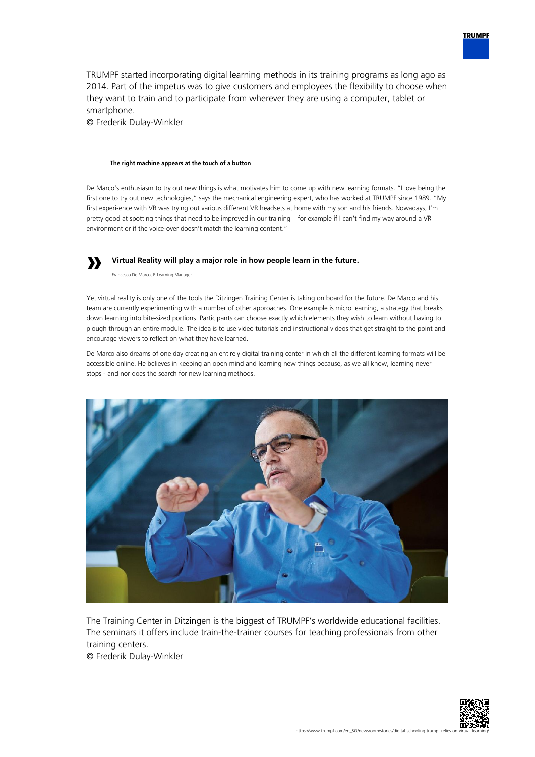TRUMPF started incorporating digital learning methods in its training programs as long ago as 2014. Part of the impetus was to give customers and employees the flexibility to choose when they want to train and to participate from wherever they are using a computer, tablet or smartphone.

© Frederik Dulay-Winkler

## **The right machine appears at the touch of a button**

De Marco's enthusiasm to try out new things is what motivates him to come up with new learning formats. "I love being the first one to try out new technologies," says the mechanical engineering expert, who has worked at TRUMPF since 1989. "My first experi-ence with VR was trying out various different VR headsets at home with my son and his friends. Nowadays, I'm pretty good at spotting things that need to be improved in our training – for example if I can't find my way around a VR environment or if the voice-over doesn't match the learning content."

## **» Virtual Reality will play a major role in how people learn in the future.**

Francesco De Marco, E-Learning Manager

Yet virtual reality is only one of the tools the Ditzingen Training Center is taking on board for the future. De Marco and his team are currently experimenting with a number of other approaches. One example is micro learning, a strategy that breaks down learning into bite-sized portions. Participants can choose exactly which elements they wish to learn without having to plough through an entire module. The idea is to use video tutorials and instructional videos that get straight to the point and encourage viewers to reflect on what they have learned.

De Marco also dreams of one day creating an entirely digital training center in which all the different learning formats will be accessible online. He believes in keeping an open mind and learning new things because, as we all know, learning never stops - and nor does the search for new learning methods.



The Training Center in Ditzingen is the biggest of TRUMPF's worldwide educational facilities. The seminars it offers include train-the-trainer courses for teaching professionals from other training centers.

© Frederik Dulay-Winkler



**TRUMPF**